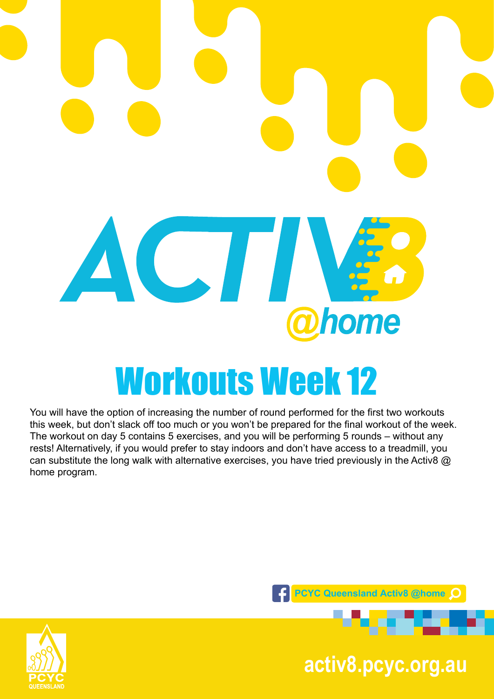

# Workouts Week 12

You will have the option of increasing the number of round performed for the first two workouts this week, but don't slack off too much or you won't be prepared for the final workout of the week. The workout on day 5 contains 5 exercises, and you will be performing 5 rounds – without any rests! Alternatively, if you would prefer to stay indoors and don't have access to a treadmill, you can substitute the long walk with alternative exercises, you have tried previously in the Activ8 @ home program.





**pcyc.org.au activ8.pcyc.org.au**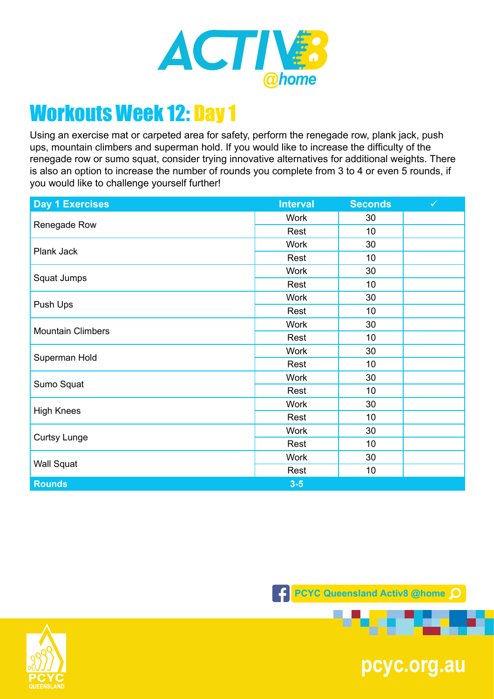

Using an exercise mat or carpeted area for safety, perform the renegade row, plank jack, push ups, mountain climbers and superman hold. If you would like to increase the difficulty of the renegade row or sumo squat, consider trying innovative alternatives for additional weights. There is also an option to increase the number of rounds you complete from 3 to 4 or even 5 rounds, if you would like to challenge yourself further!

| <b>Day 1 Exercises</b>   | <b>Interval</b> | <b>Seconds</b> | $\checkmark$ |
|--------------------------|-----------------|----------------|--------------|
| Renegade Row             | <b>Work</b>     | 30             |              |
|                          | Rest            | 10             |              |
| Plank Jack               | <b>Work</b>     | 30             |              |
|                          | Rest            | 10             |              |
| Squat Jumps              | <b>Work</b>     | 30             |              |
|                          | Rest            | 10             |              |
| Push Ups                 | <b>Work</b>     | 30             |              |
|                          | Rest            | 10             |              |
|                          | <b>Work</b>     | 30             |              |
| <b>Mountain Climbers</b> | Rest            | 10             |              |
| Superman Hold            | <b>Work</b>     | 30             |              |
|                          | Rest            | 10             |              |
| Sumo Squat               | <b>Work</b>     | 30             |              |
|                          | Rest            | 10             |              |
| <b>High Knees</b>        | <b>Work</b>     | 30             |              |
|                          | Rest            | 10             |              |
| <b>Curtsy Lunge</b>      | <b>Work</b>     | 30             |              |
|                          | Rest            | 10             |              |
| <b>Wall Squat</b>        | <b>Work</b>     | 30             |              |
|                          | Rest            | 10             |              |
| <b>Rounds</b>            | $3-5$           |                |              |





**pcyc.org.au**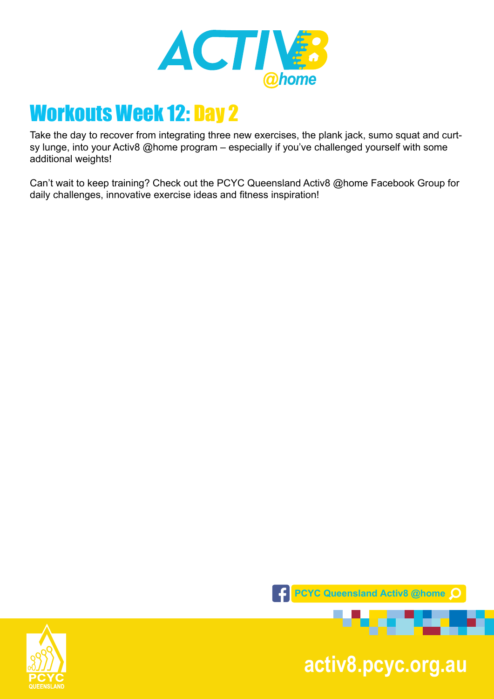

Take the day to recover from integrating three new exercises, the plank jack, sumo squat and curtsy lunge, into your Activ8 @home program – especially if you've challenged yourself with some additional weights!

Can't wait to keep training? Check out the PCYC Queensland Activ8 @home Facebook Group for daily challenges, innovative exercise ideas and fitness inspiration!





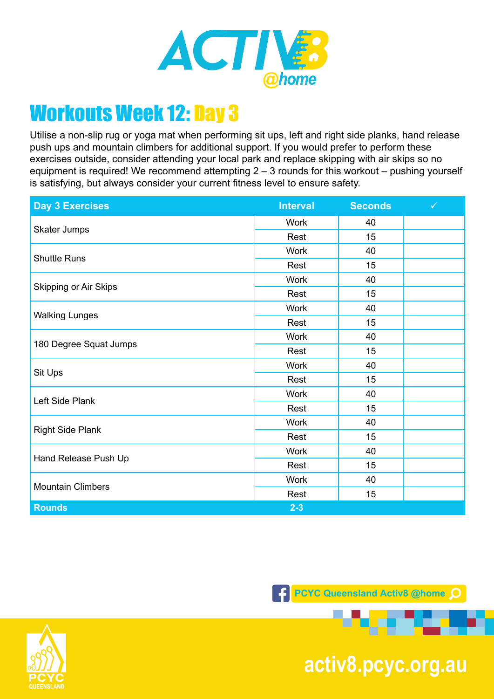

Utilise a non-slip rug or yoga mat when performing sit ups, left and right side planks, hand release push ups and mountain climbers for additional support. If you would prefer to perform these exercises outside, consider attending your local park and replace skipping with air skips so no equipment is required! We recommend attempting  $2 - 3$  rounds for this workout – pushing yourself is satisfying, but always consider your current fitness level to ensure safety.

| <b>Day 3 Exercises</b>   | <b>Interval</b> | <b>Seconds</b> | $\checkmark$ |
|--------------------------|-----------------|----------------|--------------|
| Skater Jumps             | <b>Work</b>     | 40             |              |
|                          | Rest            | 15             |              |
| <b>Shuttle Runs</b>      | <b>Work</b>     | 40             |              |
|                          | Rest            | 15             |              |
| Skipping or Air Skips    | <b>Work</b>     | 40             |              |
|                          | Rest            | 15             |              |
| <b>Walking Lunges</b>    | <b>Work</b>     | 40             |              |
|                          | Rest            | 15             |              |
| 180 Degree Squat Jumps   | <b>Work</b>     | 40             |              |
|                          | Rest            | 15             |              |
| Sit Ups                  | <b>Work</b>     | 40             |              |
|                          | Rest            | 15             |              |
| Left Side Plank          | <b>Work</b>     | 40             |              |
|                          | Rest            | 15             |              |
| <b>Right Side Plank</b>  | <b>Work</b>     | 40             |              |
|                          | Rest            | 15             |              |
| Hand Release Push Up     | <b>Work</b>     | 40             |              |
|                          | Rest            | 15             |              |
| <b>Mountain Climbers</b> | <b>Work</b>     | 40             |              |
|                          | Rest            | 15             |              |
| <b>Rounds</b>            | $2 - 3$         |                |              |

**PCYC Queensland Activ8 @home** 



**pcyc.org.au activ8.pcyc.org.au**

. .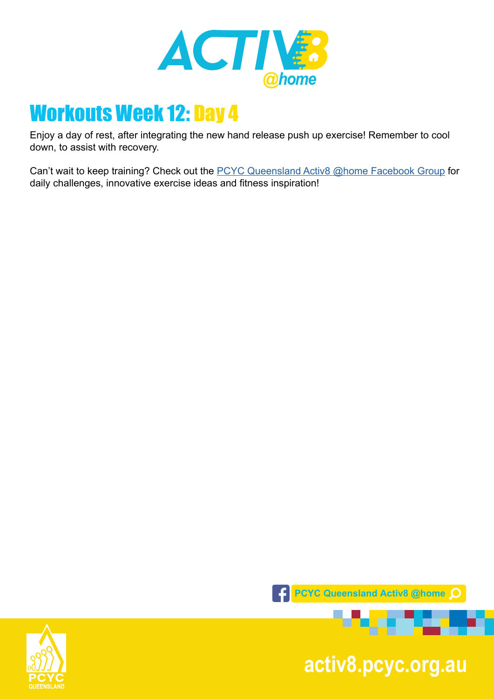

Enjoy a day of rest, after integrating the new hand release push up exercise! Remember to cool down, to assist with recovery.

Can't wait to keep training? Check out the [PCYC Queensland Activ8 @home Facebook Group](https://www.facebook.com/groups/2652320985090996/) for daily challenges, innovative exercise ideas and fitness inspiration!



**pcyc.org.au activ8.pcyc.org.au**

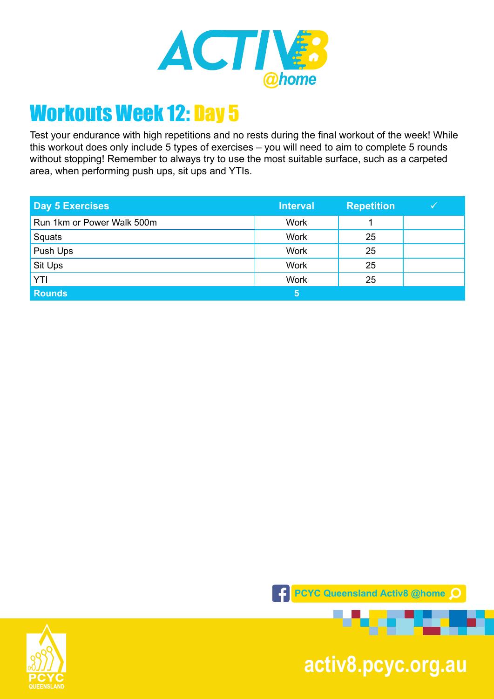

Test your endurance with high repetitions and no rests during the final workout of the week! While this workout does only include 5 types of exercises – you will need to aim to complete 5 rounds without stopping! Remember to always try to use the most suitable surface, such as a carpeted area, when performing push ups, sit ups and YTIs.

| <b>Day 5 Exercises</b>     | <b>Interval</b> | <b>Repetition</b> |  |
|----------------------------|-----------------|-------------------|--|
| Run 1km or Power Walk 500m | <b>Work</b>     |                   |  |
| Squats                     | <b>Work</b>     | 25                |  |
| Push Ups                   | <b>Work</b>     | 25                |  |
| Sit Ups                    | <b>Work</b>     | 25                |  |
| YTI                        | <b>Work</b>     | 25                |  |
| <b>Rounds</b>              | 5               |                   |  |



**pcyc.org.au activ8.pcyc.org.au**

. .

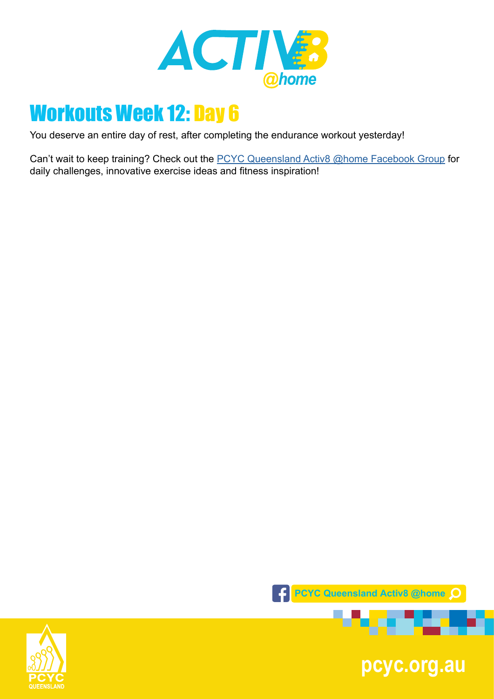

You deserve an entire day of rest, after completing the endurance workout yesterday!

Can't wait to keep training? Check out the **PCYC Queensland Activ8 @home Facebook Group** for daily challenges, innovative exercise ideas and fitness inspiration!